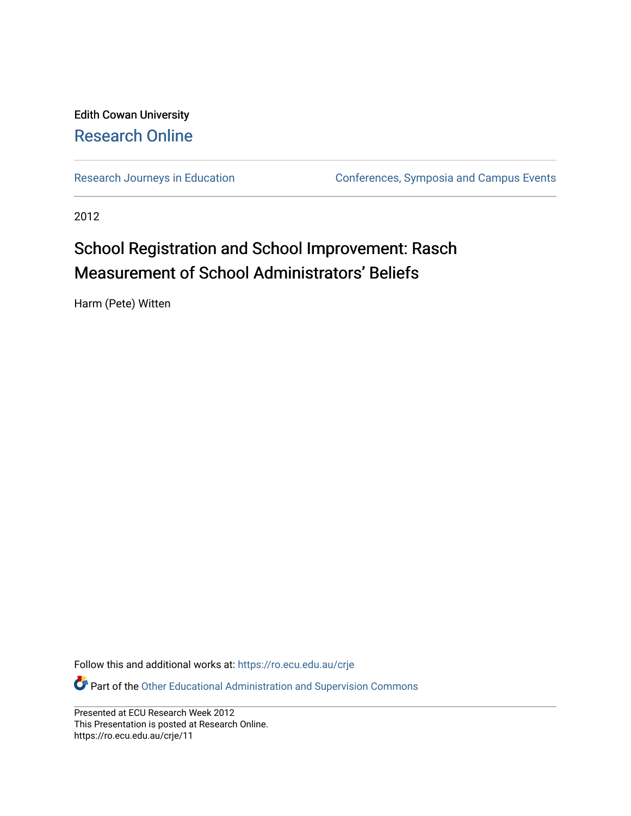#### Edith Cowan University [Research Online](https://ro.ecu.edu.au/)

[Research Journeys in Education](https://ro.ecu.edu.au/crje) **Conferences**, Symposia and Campus Events

2012

#### School Registration and School Improvement: Rasch Measurement of School Administrators' Beliefs

Harm (Pete) Witten

Follow this and additional works at: [https://ro.ecu.edu.au/crje](https://ro.ecu.edu.au/crje?utm_source=ro.ecu.edu.au%2Fcrje%2F11&utm_medium=PDF&utm_campaign=PDFCoverPages) 

**Part of the Other Educational Administration and Supervision Commons** 

Presented at ECU Research Week 2012 This Presentation is posted at Research Online. https://ro.ecu.edu.au/crje/11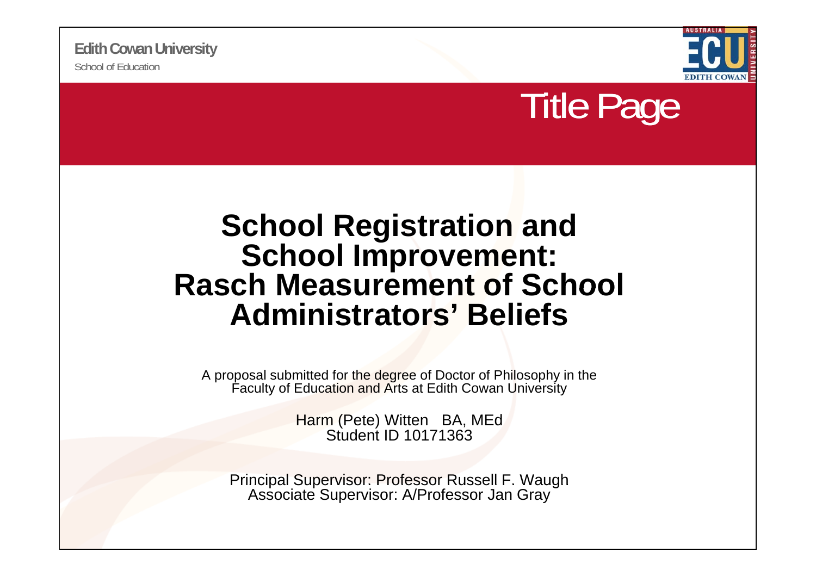



### **School Registration and School Improvement: Rasch Measurement of School Administrators' Beliefs**

A proposal submitted for the degree of Doctor of Philosophy in the Faculty of Education and Arts at Edith Cowan University

> Harm (Pete) Witten BA, MEd Student ID 10171363

Principal Supervisor: Professor Russell F. Waugh Associate Supervisor: A/Professor Jan Gray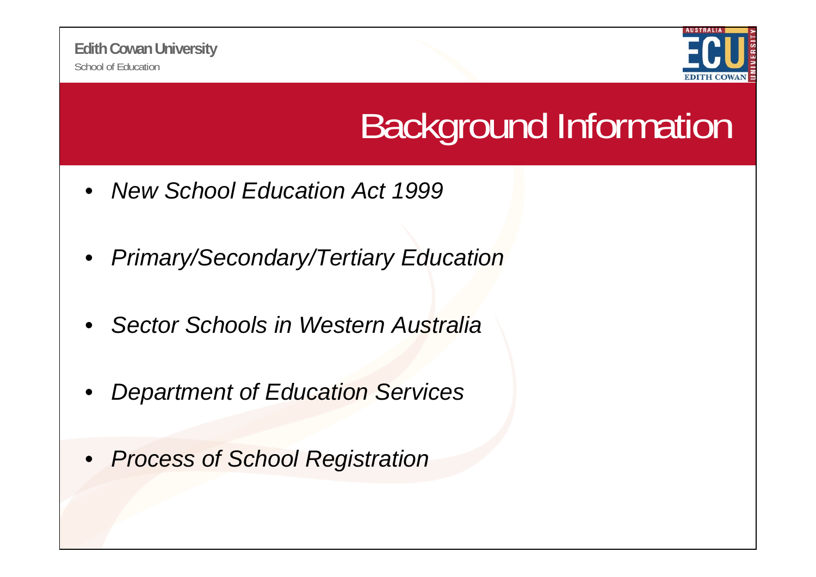

## Background Information

- $\bullet$ *New School Education Act 1999*
- $\bullet$ *Primary/Secondary/Tertiary Education*
- •*Sector Schools in Western Australia*
- $\bullet$ *Department of Education Services*
- $\bullet$ *Process of School Registration*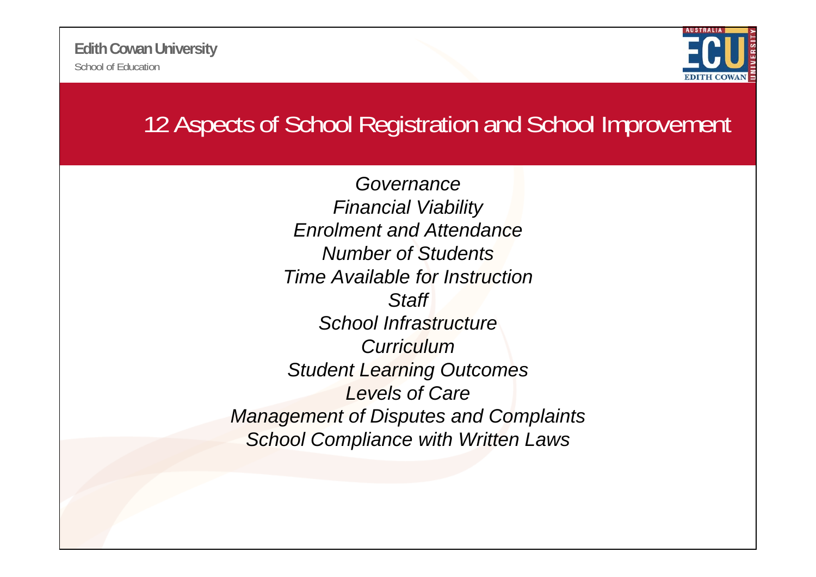

### 12 Aspects of School Registration and School Improvement

*GovernanceFinancial Viability Enrolment and AttendanceNumber of StudentsTime Available for InstructionStaff School InfrastructureCurriculumStudent Learning Outcomes Levels of Care Management of Disputes and Complaints of School Compliance with Written Laws*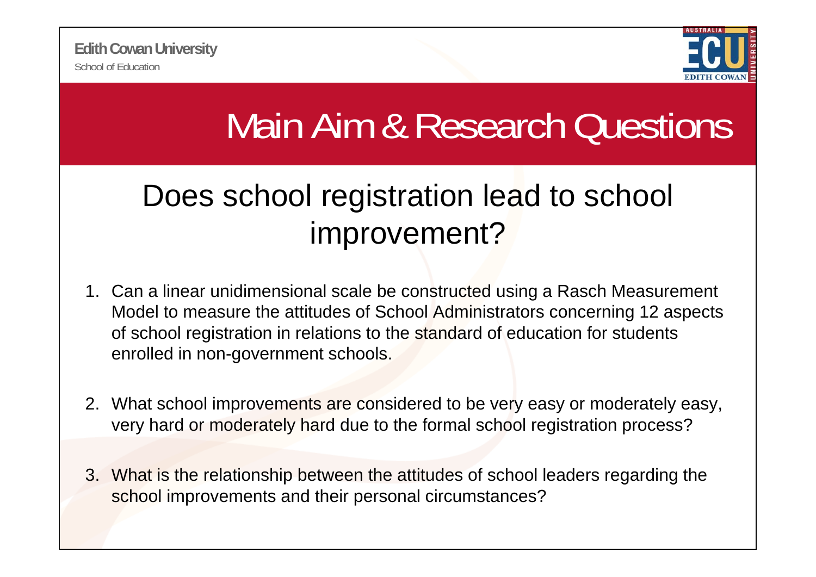

# Main Aim & Research Questions

### Does school registration lead to school improvement?

- 1. Can a linear unidimensional scale be constructed using a Rasch Measurement Model to measure the attitudes of School Administrators concerning 12 aspects of school registration in relations to the standard of education for students enrolled in non-government schools.
- 2. What school improvements are considered to be very easy or moderately easy, very hard or moderately hard due to the formal school registration process?
- 3. What is the relationship between the attitudes of school leaders regarding the school improvements and their personal circumstances?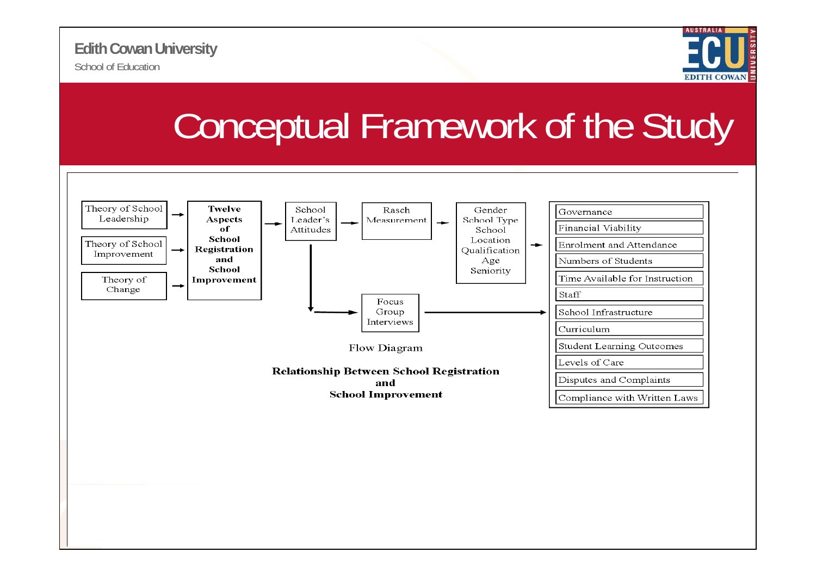

## Conceptual Framework of the Study

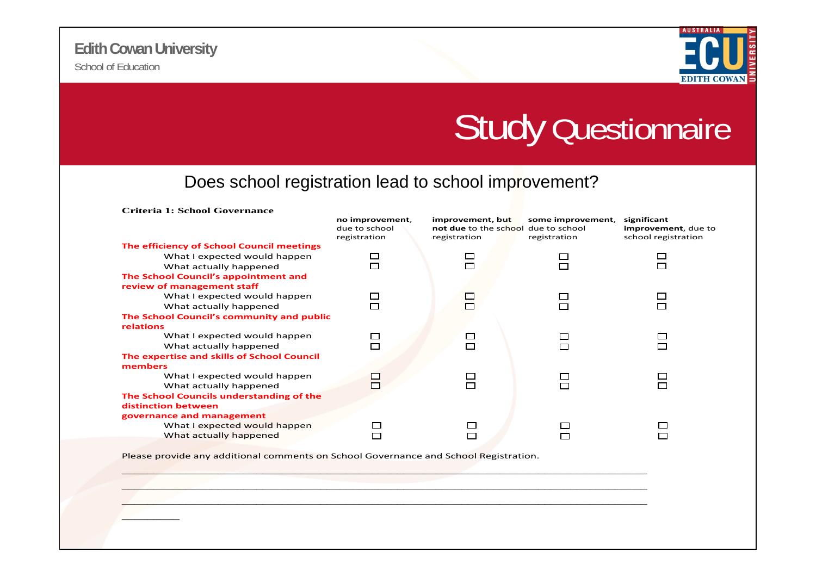

### Study Questionnaire

#### Does school registration lead to school improvement?

| no improvement,<br>due to school<br>registration | improvement, but<br>registration                         | some improvement,<br>registration | significant<br>improvement, due to<br>school registration |
|--------------------------------------------------|----------------------------------------------------------|-----------------------------------|-----------------------------------------------------------|
|                                                  |                                                          |                                   |                                                           |
|                                                  |                                                          |                                   |                                                           |
|                                                  |                                                          |                                   | П                                                         |
|                                                  |                                                          |                                   |                                                           |
|                                                  |                                                          |                                   |                                                           |
| $\Box$                                           | $\mathcal{L}_{\mathcal{A}}$                              |                                   | □                                                         |
|                                                  |                                                          |                                   | П                                                         |
|                                                  |                                                          |                                   |                                                           |
|                                                  |                                                          |                                   |                                                           |
|                                                  |                                                          |                                   |                                                           |
|                                                  |                                                          |                                   | г                                                         |
|                                                  |                                                          |                                   |                                                           |
|                                                  |                                                          |                                   |                                                           |
|                                                  |                                                          |                                   |                                                           |
|                                                  |                                                          |                                   | $\Box$                                                    |
|                                                  |                                                          |                                   |                                                           |
|                                                  |                                                          |                                   |                                                           |
|                                                  |                                                          |                                   |                                                           |
|                                                  |                                                          |                                   |                                                           |
|                                                  |                                                          |                                   |                                                           |
|                                                  | г<br>$\Box$<br>The School Council's community and public | П<br>ш<br>Щ                       | not due to the school due to school                       |

Please provide any additional comments on School Governance and School Registration.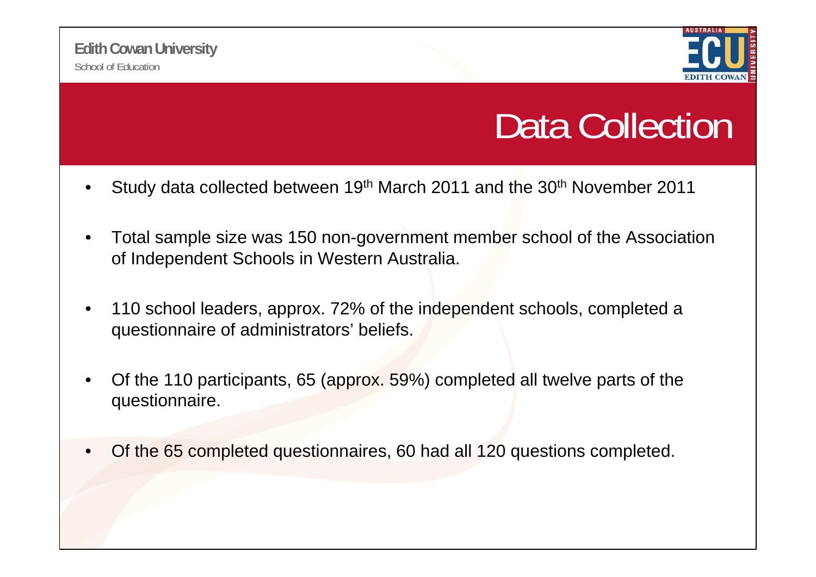

### Data Collection

- •Study data collected between 19th March 2011 and the 30th November 2011
- $\bullet$  Total sample size was 150 non-government member school of the Association of Independent Schools in Western Australia.
- $\bullet$  110 school leaders, approx. 72% of the independent schools, completed a questionnaire of administrators' beliefs.
- • Of the 110 participants, 65 (approx. 59%) completed all twelve parts of the questionnaire.
- •Of the 65 completed questionnaires, 60 had all 120 questions completed.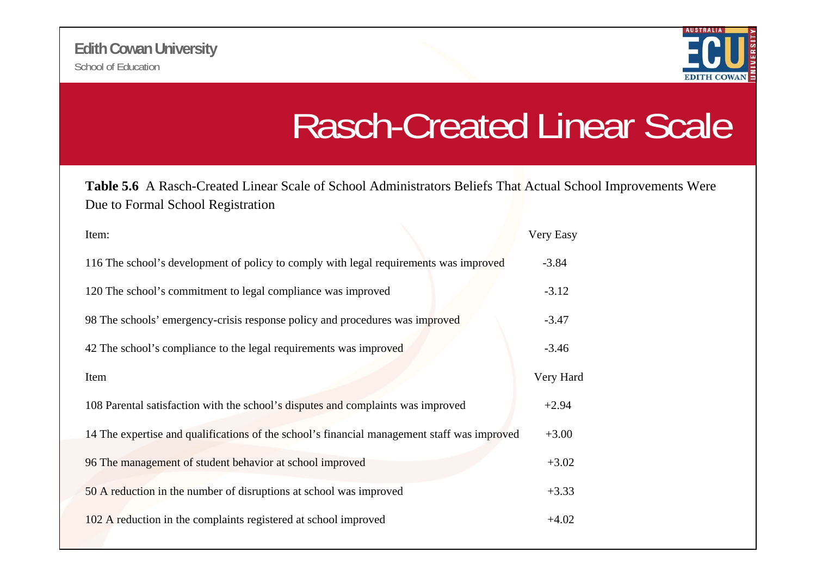

### Rasch-Created Linear Scale

**Table 5.6** A Rasch-Created Linear Scale of School Administrators Beliefs That Actual School Improvements Were Due to Formal School Registration

| Item:                                                                                       | Very Easy |
|---------------------------------------------------------------------------------------------|-----------|
| 116 The school's development of policy to comply with legal requirements was improved       | $-3.84$   |
| 120 The school's commitment to legal compliance was improved                                | $-3.12$   |
| 98 The schools' emergency-crisis response policy and procedures was improved                | $-3.47$   |
| 42 The school's compliance to the legal requirements was improved                           | $-3.46$   |
| Item                                                                                        | Very Hard |
| 108 Parental satisfaction with the school's disputes and complaints was improved            | $+2.94$   |
| 14 The expertise and qualifications of the school's financial management staff was improved | $+3.00$   |
| 96 The management of student behavior at school improved                                    | $+3.02$   |
| 50 A reduction in the number of disruptions at school was improved                          | $+3.33$   |
| 102 A reduction in the complaints registered at school improved                             | $+4.02$   |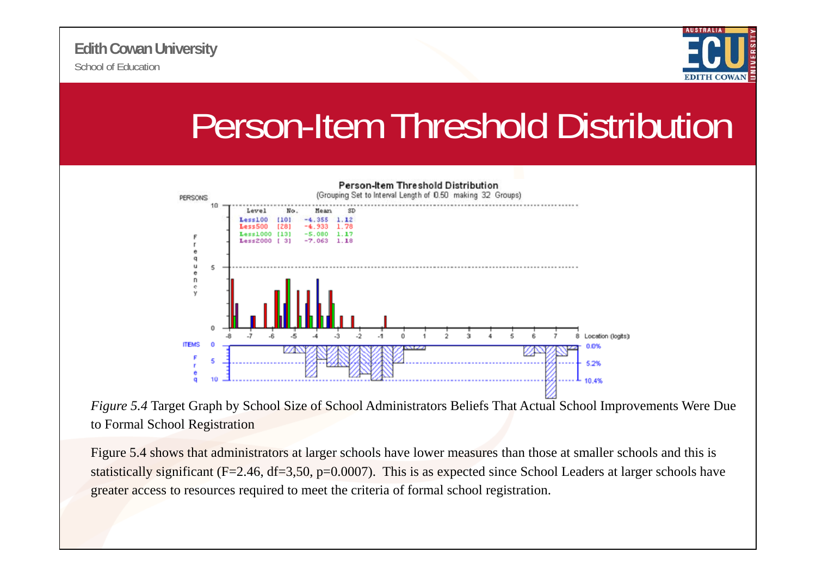School of Education**Edith Cowan University**



### Person-Item Threshold Distribution



*Figure 5.4* Target Graph by School Size of School Administrators Beliefs That Actual School Improvements Were Due to Formal School Registration

Figure 5.4 shows that administrators at larger schools have lower measures than those at smaller schools and this is statistically significant ( $F=2.46$ ,  $df=3.50$ ,  $p=0.0007$ ). This is as expected since School Leaders at larger schools have greater access to resources required to meet the criteria of formal school registration.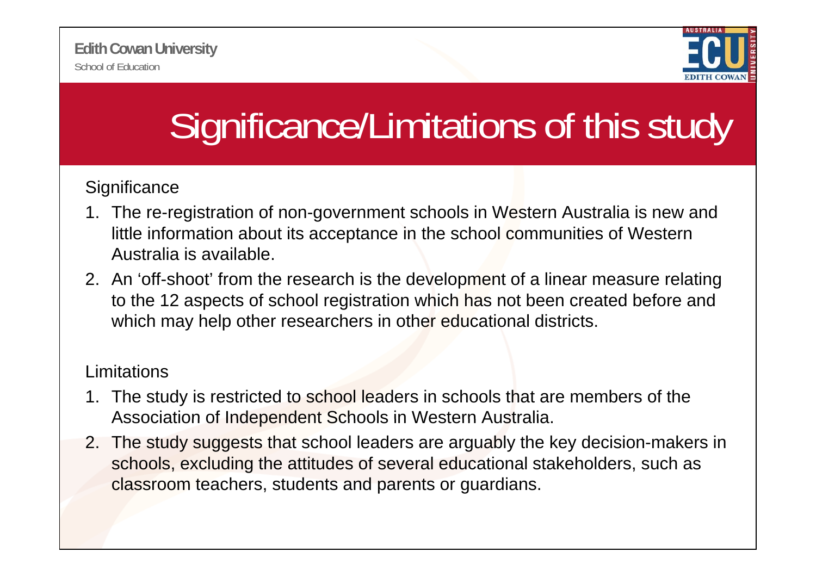

# Significance/Limitations of this study

#### **Significance**

- 1. The re-registration of non-government schools in Western Australia is new and little information about its acceptance in the school communities of Western Australia is available.
- 2. An 'off-shoot' from the research is the development of a linear measure relating to the 12 aspects of school registration which has not been created before and which may help other researchers in other educational districts.

#### Limitations

- 1. The study is restricted to school leaders in schools that are members of the Association of Independent Schools in Western Australia.
- 2. The study suggests that school leaders are arguably the key decision-makers in schools, excluding the attitudes of several educational stakeholders, such as classroom teachers, students and parents or guardians.